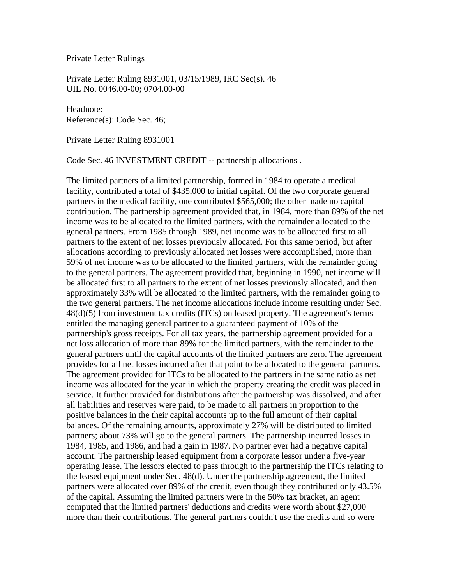Private Letter Rulings

Private Letter Ruling 8931001, 03/15/1989, IRC Sec(s). 46 UIL No. 0046.00-00; 0704.00-00

Headnote: Reference(s): Code Sec. 46;

Private Letter Ruling 8931001

Code Sec. 46 INVESTMENT CREDIT -- partnership allocations .

The limited partners of a limited partnership, formed in 1984 to operate a medical facility, contributed a total of \$435,000 to initial capital. Of the two corporate general partners in the medical facility, one contributed \$565,000; the other made no capital contribution. The partnership agreement provided that, in 1984, more than 89% of the net income was to be allocated to the limited partners, with the remainder allocated to the general partners. From 1985 through 1989, net income was to be allocated first to all partners to the extent of net losses previously allocated. For this same period, but after allocations according to previously allocated net losses were accomplished, more than 59% of net income was to be allocated to the limited partners, with the remainder going to the general partners. The agreement provided that, beginning in 1990, net income will be allocated first to all partners to the extent of net losses previously allocated, and then approximately 33% will be allocated to the limited partners, with the remainder going to the two general partners. The net income allocations include income resulting under Sec. 48(d)(5) from investment tax credits (ITCs) on leased property. The agreement's terms entitled the managing general partner to a guaranteed payment of 10% of the partnership's gross receipts. For all tax years, the partnership agreement provided for a net loss allocation of more than 89% for the limited partners, with the remainder to the general partners until the capital accounts of the limited partners are zero. The agreement provides for all net losses incurred after that point to be allocated to the general partners. The agreement provided for ITCs to be allocated to the partners in the same ratio as net income was allocated for the year in which the property creating the credit was placed in service. It further provided for distributions after the partnership was dissolved, and after all liabilities and reserves were paid, to be made to all partners in proportion to the positive balances in the their capital accounts up to the full amount of their capital balances. Of the remaining amounts, approximately 27% will be distributed to limited partners; about 73% will go to the general partners. The partnership incurred losses in 1984, 1985, and 1986, and had a gain in 1987. No partner ever had a negative capital account. The partnership leased equipment from a corporate lessor under a five-year operating lease. The lessors elected to pass through to the partnership the ITCs relating to the leased equipment under Sec. 48(d). Under the partnership agreement, the limited partners were allocated over 89% of the credit, even though they contributed only 43.5% of the capital. Assuming the limited partners were in the 50% tax bracket, an agent computed that the limited partners' deductions and credits were worth about \$27,000 more than their contributions. The general partners couldn't use the credits and so were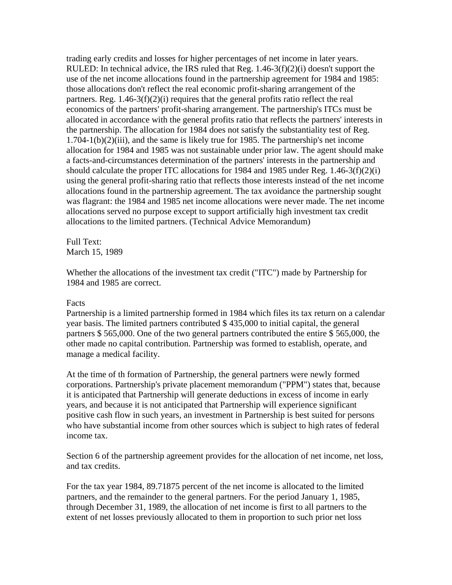trading early credits and losses for higher percentages of net income in later years. RULED: In technical advice, the IRS ruled that Reg. 1.46-3(f)(2)(i) doesn't support the use of the net income allocations found in the partnership agreement for 1984 and 1985: those allocations don't reflect the real economic profit-sharing arrangement of the partners. Reg.  $1.46-3(f)(2)(i)$  requires that the general profits ratio reflect the real economics of the partners' profit-sharing arrangement. The partnership's ITCs must be allocated in accordance with the general profits ratio that reflects the partners' interests in the partnership. The allocation for 1984 does not satisfy the substantiality test of Reg. 1.704-1(b)(2)(iii), and the same is likely true for 1985. The partnership's net income allocation for 1984 and 1985 was not sustainable under prior law. The agent should make a facts-and-circumstances determination of the partners' interests in the partnership and should calculate the proper ITC allocations for 1984 and 1985 under Reg. 1.46-3(f)(2)(i) using the general profit-sharing ratio that reflects those interests instead of the net income allocations found in the partnership agreement. The tax avoidance the partnership sought was flagrant: the 1984 and 1985 net income allocations were never made. The net income allocations served no purpose except to support artificially high investment tax credit allocations to the limited partners. (Technical Advice Memorandum)

Full Text: March 15, 1989

Whether the allocations of the investment tax credit ("ITC") made by Partnership for 1984 and 1985 are correct.

# Facts

Partnership is a limited partnership formed in 1984 which files its tax return on a calendar year basis. The limited partners contributed \$ 435,000 to initial capital, the general partners \$ 565,000. One of the two general partners contributed the entire \$ 565,000, the other made no capital contribution. Partnership was formed to establish, operate, and manage a medical facility.

At the time of th formation of Partnership, the general partners were newly formed corporations. Partnership's private placement memorandum ("PPM") states that, because it is anticipated that Partnership will generate deductions in excess of income in early years, and because it is not anticipated that Partnership will experience significant positive cash flow in such years, an investment in Partnership is best suited for persons who have substantial income from other sources which is subject to high rates of federal income tax.

Section 6 of the partnership agreement provides for the allocation of net income, net loss, and tax credits.

For the tax year 1984, 89.71875 percent of the net income is allocated to the limited partners, and the remainder to the general partners. For the period January 1, 1985, through December 31, 1989, the allocation of net income is first to all partners to the extent of net losses previously allocated to them in proportion to such prior net loss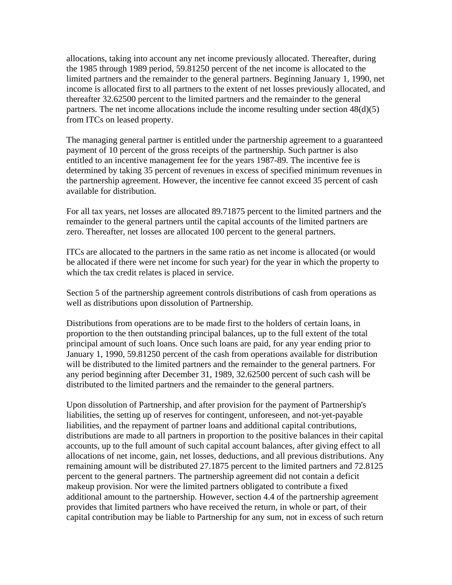allocations, taking into account any net income previously allocated. Thereafter, during the 1985 through 1989 period, 59.81250 percent of the net income is allocated to the limited partners and the remainder to the general partners. Beginning January 1, 1990, net income is allocated first to all partners to the extent of net losses previously allocated, and thereafter 32.62500 percent to the limited partners and the remainder to the general partners. The net income allocations include the income resulting under section 48(d)(5) from ITCs on leased property.

The managing general partner is entitled under the partnership agreement to a guaranteed payment of 10 percent of the gross receipts of the partnership. Such partner is also entitled to an incentive management fee for the years 1987-89. The incentive fee is determined by taking 35 percent of revenues in excess of specified minimum revenues in the partnership agreement. However, the incentive fee cannot exceed 35 percent of cash available for distribution.

For all tax years, net losses are allocated 89.71875 percent to the limited partners and the remainder to the general partners until the capital accounts of the limited partners are zero. Thereafter, net losses are allocated 100 percent to the general partners.

ITCs are allocated to the partners in the same ratio as net income is allocated (or would be allocated if there were net income for such year) for the year in which the property to which the tax credit relates is placed in service.

Section 5 of the partnership agreement controls distributions of cash from operations as well as distributions upon dissolution of Partnership.

Distributions from operations are to be made first to the holders of certain loans, in proportion to the then outstanding principal balances, up to the full extent of the total principal amount of such loans. Once such loans are paid, for any year ending prior to January 1, 1990, 59.81250 percent of the cash from operations available for distribution will be distributed to the limited partners and the remainder to the general partners. For any period beginning after December 31, 1989, 32.62500 percent of such cash will be distributed to the limited partners and the remainder to the general partners.

Upon dissolution of Partnership, and after provision for the payment of Partnership's liabilities, the setting up of reserves for contingent, unforeseen, and not-yet-payable liabilities, and the repayment of partner loans and additional capital contributions, distributions are made to all partners in proportion to the positive balances in their capital accounts, up to the full amount of such capital account balances, after giving effect to all allocations of net income, gain, net losses, deductions, and all previous distributions. Any remaining amount will be distributed 27.1875 percent to the limited partners and 72.8125 percent to the general partners. The partnership agreement did not contain a deficit makeup provision. Nor were the limited partners obligated to contribute a fixed additional amount to the partnership. However, section 4.4 of the partnership agreement provides that limited partners who have received the return, in whole or part, of their capital contribution may be liable to Partnership for any sum, not in excess of such return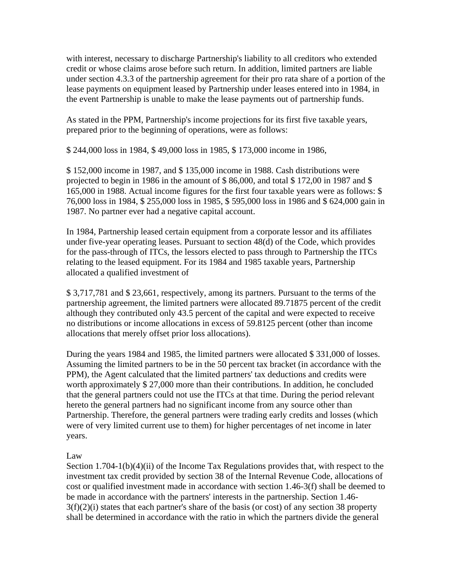with interest, necessary to discharge Partnership's liability to all creditors who extended credit or whose claims arose before such return. In addition, limited partners are liable under section 4.3.3 of the partnership agreement for their pro rata share of a portion of the lease payments on equipment leased by Partnership under leases entered into in 1984, in the event Partnership is unable to make the lease payments out of partnership funds.

As stated in the PPM, Partnership's income projections for its first five taxable years, prepared prior to the beginning of operations, were as follows:

\$ 244,000 loss in 1984, \$ 49,000 loss in 1985, \$ 173,000 income in 1986,

\$ 152,000 income in 1987, and \$ 135,000 income in 1988. Cash distributions were projected to begin in 1986 in the amount of \$ 86,000, and total \$ 172,00 in 1987 and \$ 165,000 in 1988. Actual income figures for the first four taxable years were as follows: \$ 76,000 loss in 1984, \$ 255,000 loss in 1985, \$ 595,000 loss in 1986 and \$ 624,000 gain in 1987. No partner ever had a negative capital account.

In 1984, Partnership leased certain equipment from a corporate lessor and its affiliates under five-year operating leases. Pursuant to section 48(d) of the Code, which provides for the pass-through of ITCs, the lessors elected to pass through to Partnership the ITCs relating to the leased equipment. For its 1984 and 1985 taxable years, Partnership allocated a qualified investment of

\$ 3,717,781 and \$ 23,661, respectively, among its partners. Pursuant to the terms of the partnership agreement, the limited partners were allocated 89.71875 percent of the credit although they contributed only 43.5 percent of the capital and were expected to receive no distributions or income allocations in excess of 59.8125 percent (other than income allocations that merely offset prior loss allocations).

During the years 1984 and 1985, the limited partners were allocated \$ 331,000 of losses. Assuming the limited partners to be in the 50 percent tax bracket (in accordance with the PPM), the Agent calculated that the limited partners' tax deductions and credits were worth approximately \$ 27,000 more than their contributions. In addition, he concluded that the general partners could not use the ITCs at that time. During the period relevant hereto the general partners had no significant income from any source other than Partnership. Therefore, the general partners were trading early credits and losses (which were of very limited current use to them) for higher percentages of net income in later years.

# Law

Section 1.704-1(b)(4)(ii) of the Income Tax Regulations provides that, with respect to the investment tax credit provided by section 38 of the Internal Revenue Code, allocations of cost or qualified investment made in accordance with section 1.46-3(f) shall be deemed to be made in accordance with the partners' interests in the partnership. Section 1.46-  $3(f)(2)(i)$  states that each partner's share of the basis (or cost) of any section 38 property shall be determined in accordance with the ratio in which the partners divide the general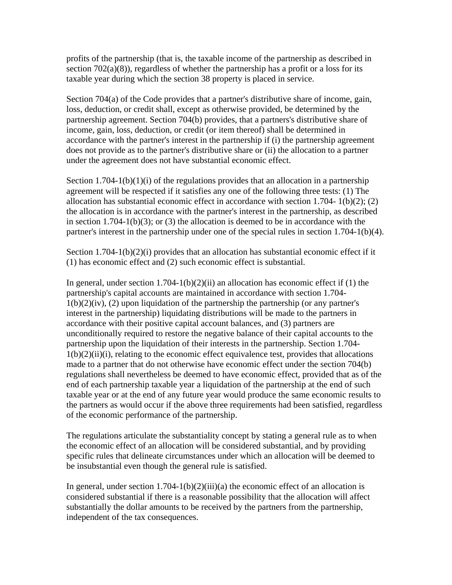profits of the partnership (that is, the taxable income of the partnership as described in section 702(a)(8)), regardless of whether the partnership has a profit or a loss for its taxable year during which the section 38 property is placed in service.

Section 704(a) of the Code provides that a partner's distributive share of income, gain, loss, deduction, or credit shall, except as otherwise provided, be determined by the partnership agreement. Section 704(b) provides, that a partners's distributive share of income, gain, loss, deduction, or credit (or item thereof) shall be determined in accordance with the partner's interest in the partnership if (i) the partnership agreement does not provide as to the partner's distributive share or (ii) the allocation to a partner under the agreement does not have substantial economic effect.

Section 1.704-1(b)(1)(i) of the regulations provides that an allocation in a partnership agreement will be respected if it satisfies any one of the following three tests: (1) The allocation has substantial economic effect in accordance with section 1.704- 1(b)(2); (2) the allocation is in accordance with the partner's interest in the partnership, as described in section  $1.704-1(b)(3)$ ; or (3) the allocation is deemed to be in accordance with the partner's interest in the partnership under one of the special rules in section 1.704-1(b)(4).

Section 1.704-1(b)(2)(i) provides that an allocation has substantial economic effect if it (1) has economic effect and (2) such economic effect is substantial.

In general, under section  $1.704 \cdot 1(b)(2)(ii)$  an allocation has economic effect if (1) the partnership's capital accounts are maintained in accordance with section 1.704-  $1(b)(2)(iv)$ , (2) upon liquidation of the partnership the partnership (or any partner's interest in the partnership) liquidating distributions will be made to the partners in accordance with their positive capital account balances, and (3) partners are unconditionally required to restore the negative balance of their capital accounts to the partnership upon the liquidation of their interests in the partnership. Section 1.704-  $1(b)(2)(ii)(i)$ , relating to the economic effect equivalence test, provides that allocations made to a partner that do not otherwise have economic effect under the section 704(b) regulations shall nevertheless be deemed to have economic effect, provided that as of the end of each partnership taxable year a liquidation of the partnership at the end of such taxable year or at the end of any future year would produce the same economic results to the partners as would occur if the above three requirements had been satisfied, regardless of the economic performance of the partnership.

The regulations articulate the substantiality concept by stating a general rule as to when the economic effect of an allocation will be considered substantial, and by providing specific rules that delineate circumstances under which an allocation will be deemed to be insubstantial even though the general rule is satisfied.

In general, under section  $1.704-1(b)(2)(iii)(a)$  the economic effect of an allocation is considered substantial if there is a reasonable possibility that the allocation will affect substantially the dollar amounts to be received by the partners from the partnership, independent of the tax consequences.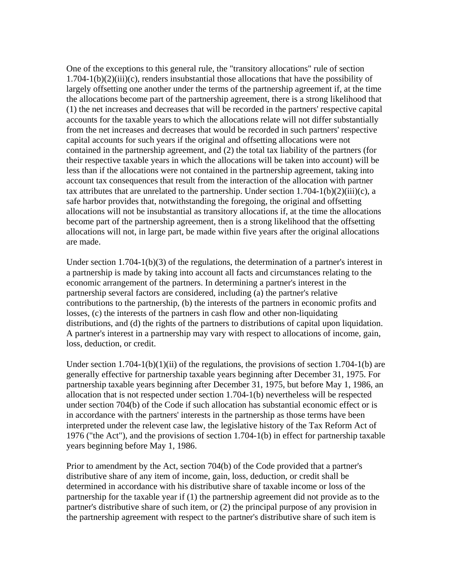One of the exceptions to this general rule, the "transitory allocations" rule of section 1.704-1(b)(2)(iii)(c), renders insubstantial those allocations that have the possibility of largely offsetting one another under the terms of the partnership agreement if, at the time the allocations become part of the partnership agreement, there is a strong likelihood that (1) the net increases and decreases that will be recorded in the partners' respective capital accounts for the taxable years to which the allocations relate will not differ substantially from the net increases and decreases that would be recorded in such partners' respective capital accounts for such years if the original and offsetting allocations were not contained in the partnership agreement, and (2) the total tax liability of the partners (for their respective taxable years in which the allocations will be taken into account) will be less than if the allocations were not contained in the partnership agreement, taking into account tax consequences that result from the interaction of the allocation with partner tax attributes that are unrelated to the partnership. Under section  $1.704-1(b)(2)(iii)(c)$ , a safe harbor provides that, notwithstanding the foregoing, the original and offsetting allocations will not be insubstantial as transitory allocations if, at the time the allocations become part of the partnership agreement, then is a strong likelihood that the offsetting allocations will not, in large part, be made within five years after the original allocations are made.

Under section  $1.704-1(b)(3)$  of the regulations, the determination of a partner's interest in a partnership is made by taking into account all facts and circumstances relating to the economic arrangement of the partners. In determining a partner's interest in the partnership several factors are considered, including (a) the partner's relative contributions to the partnership, (b) the interests of the partners in economic profits and losses, (c) the interests of the partners in cash flow and other non-liquidating distributions, and (d) the rights of the partners to distributions of capital upon liquidation. A partner's interest in a partnership may vary with respect to allocations of income, gain, loss, deduction, or credit.

Under section 1.704-1(b)(1)(ii) of the regulations, the provisions of section 1.704-1(b) are generally effective for partnership taxable years beginning after December 31, 1975. For partnership taxable years beginning after December 31, 1975, but before May 1, 1986, an allocation that is not respected under section 1.704-1(b) nevertheless will be respected under section 704(b) of the Code if such allocation has substantial economic effect or is in accordance with the partners' interests in the partnership as those terms have been interpreted under the relevent case law, the legislative history of the Tax Reform Act of 1976 ("the Act"), and the provisions of section 1.704-1(b) in effect for partnership taxable years beginning before May 1, 1986.

Prior to amendment by the Act, section 704(b) of the Code provided that a partner's distributive share of any item of income, gain, loss, deduction, or credit shall be determined in accordance with his distributive share of taxable income or loss of the partnership for the taxable year if (1) the partnership agreement did not provide as to the partner's distributive share of such item, or (2) the principal purpose of any provision in the partnership agreement with respect to the partner's distributive share of such item is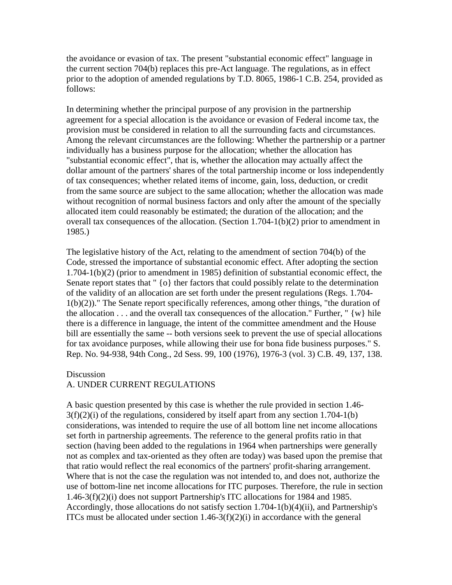the avoidance or evasion of tax. The present "substantial economic effect" language in the current section 704(b) replaces this pre-Act language. The regulations, as in effect prior to the adoption of amended regulations by T.D. 8065, 1986-1 C.B. 254, provided as follows:

In determining whether the principal purpose of any provision in the partnership agreement for a special allocation is the avoidance or evasion of Federal income tax, the provision must be considered in relation to all the surrounding facts and circumstances. Among the relevant circumstances are the following: Whether the partnership or a partner individually has a business purpose for the allocation; whether the allocation has "substantial economic effect", that is, whether the allocation may actually affect the dollar amount of the partners' shares of the total partnership income or loss independently of tax consequences; whether related items of income, gain, loss, deduction, or credit from the same source are subject to the same allocation; whether the allocation was made without recognition of normal business factors and only after the amount of the specially allocated item could reasonably be estimated; the duration of the allocation; and the overall tax consequences of the allocation. (Section 1.704-1(b)(2) prior to amendment in 1985.)

The legislative history of the Act, relating to the amendment of section 704(b) of the Code, stressed the importance of substantial economic effect. After adopting the section 1.704-1(b)(2) (prior to amendment in 1985) definition of substantial economic effect, the Senate report states that " {o} ther factors that could possibly relate to the determination of the validity of an allocation are set forth under the present regulations (Regs. 1.704- 1(b)(2))." The Senate report specifically references, among other things, "the duration of the allocation  $\dots$  and the overall tax consequences of the allocation." Further, "  $\{w\}$  hile there is a difference in language, the intent of the committee amendment and the House bill are essentially the same -- both versions seek to prevent the use of special allocations for tax avoidance purposes, while allowing their use for bona fide business purposes." S. Rep. No. 94-938, 94th Cong., 2d Sess. 99, 100 (1976), 1976-3 (vol. 3) C.B. 49, 137, 138.

#### Discussion

### A. UNDER CURRENT REGULATIONS

A basic question presented by this case is whether the rule provided in section 1.46-  $3(f)(2)(i)$  of the regulations, considered by itself apart from any section 1.704-1(b) considerations, was intended to require the use of all bottom line net income allocations set forth in partnership agreements. The reference to the general profits ratio in that section (having been added to the regulations in 1964 when partnerships were generally not as complex and tax-oriented as they often are today) was based upon the premise that that ratio would reflect the real economics of the partners' profit-sharing arrangement. Where that is not the case the regulation was not intended to, and does not, authorize the use of bottom-line net income allocations for ITC purposes. Therefore, the rule in section 1.46-3(f)(2)(i) does not support Partnership's ITC allocations for 1984 and 1985. Accordingly, those allocations do not satisfy section 1.704-1(b)(4)(ii), and Partnership's ITCs must be allocated under section  $1.46-3(f)(2)(i)$  in accordance with the general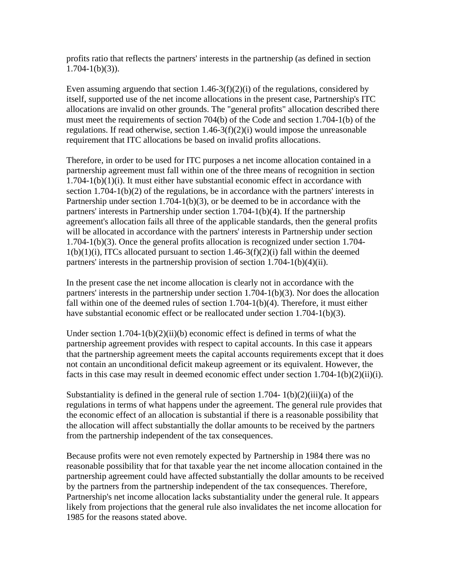profits ratio that reflects the partners' interests in the partnership (as defined in section  $1.704 - 1(b)(3)$ ).

Even assuming arguendo that section  $1.46-3(f)(2)(i)$  of the regulations, considered by itself, supported use of the net income allocations in the present case, Partnership's ITC allocations are invalid on other grounds. The "general profits" allocation described there must meet the requirements of section 704(b) of the Code and section 1.704-1(b) of the regulations. If read otherwise, section 1.46-3(f)(2)(i) would impose the unreasonable requirement that ITC allocations be based on invalid profits allocations.

Therefore, in order to be used for ITC purposes a net income allocation contained in a partnership agreement must fall within one of the three means of recognition in section  $1.704-1(b)(1)(i)$ . It must either have substantial economic effect in accordance with section 1.704-1(b)(2) of the regulations, be in accordance with the partners' interests in Partnership under section  $1.704-1(b)(3)$ , or be deemed to be in accordance with the partners' interests in Partnership under section 1.704-1(b)(4). If the partnership agreement's allocation fails all three of the applicable standards, then the general profits will be allocated in accordance with the partners' interests in Partnership under section 1.704-1(b)(3). Once the general profits allocation is recognized under section 1.704-  $1(b)(1)(i)$ , ITCs allocated pursuant to section  $1.46-3(f)(2)(i)$  fall within the deemed partners' interests in the partnership provision of section 1.704-1(b)(4)(ii).

In the present case the net income allocation is clearly not in accordance with the partners' interests in the partnership under section 1.704-1(b)(3). Nor does the allocation fall within one of the deemed rules of section 1.704-1(b)(4). Therefore, it must either have substantial economic effect or be reallocated under section 1.704-1(b)(3).

Under section  $1.704 - 1(b)(2)(ii)(b)$  economic effect is defined in terms of what the partnership agreement provides with respect to capital accounts. In this case it appears that the partnership agreement meets the capital accounts requirements except that it does not contain an unconditional deficit makeup agreement or its equivalent. However, the facts in this case may result in deemed economic effect under section 1.704-1(b)(2)(ii)(i).

Substantiality is defined in the general rule of section  $1.704 - 1(b)(2)(iii)(a)$  of the regulations in terms of what happens under the agreement. The general rule provides that the economic effect of an allocation is substantial if there is a reasonable possibility that the allocation will affect substantially the dollar amounts to be received by the partners from the partnership independent of the tax consequences.

Because profits were not even remotely expected by Partnership in 1984 there was no reasonable possibility that for that taxable year the net income allocation contained in the partnership agreement could have affected substantially the dollar amounts to be received by the partners from the partnership independent of the tax consequences. Therefore, Partnership's net income allocation lacks substantiality under the general rule. It appears likely from projections that the general rule also invalidates the net income allocation for 1985 for the reasons stated above.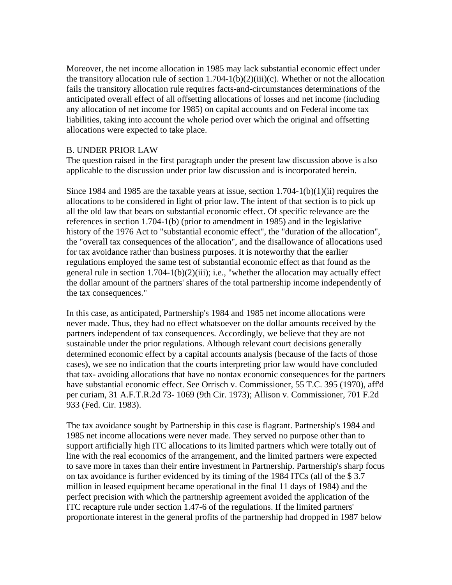Moreover, the net income allocation in 1985 may lack substantial economic effect under the transitory allocation rule of section  $1.704-1(b)(2)(iii)(c)$ . Whether or not the allocation fails the transitory allocation rule requires facts-and-circumstances determinations of the anticipated overall effect of all offsetting allocations of losses and net income (including any allocation of net income for 1985) on capital accounts and on Federal income tax liabilities, taking into account the whole period over which the original and offsetting allocations were expected to take place.

# B. UNDER PRIOR LAW

The question raised in the first paragraph under the present law discussion above is also applicable to the discussion under prior law discussion and is incorporated herein.

Since 1984 and 1985 are the taxable years at issue, section  $1.704-1(b)(1)(ii)$  requires the allocations to be considered in light of prior law. The intent of that section is to pick up all the old law that bears on substantial economic effect. Of specific relevance are the references in section 1.704-1(b) (prior to amendment in 1985) and in the legislative history of the 1976 Act to "substantial economic effect", the "duration of the allocation", the "overall tax consequences of the allocation", and the disallowance of allocations used for tax avoidance rather than business purposes. It is noteworthy that the earlier regulations employed the same test of substantial economic effect as that found as the general rule in section  $1.704-1(b)(2)(iii)$ ; i.e., "whether the allocation may actually effect the dollar amount of the partners' shares of the total partnership income independently of the tax consequences."

In this case, as anticipated, Partnership's 1984 and 1985 net income allocations were never made. Thus, they had no effect whatsoever on the dollar amounts received by the partners independent of tax consequences. Accordingly, we believe that they are not sustainable under the prior regulations. Although relevant court decisions generally determined economic effect by a capital accounts analysis (because of the facts of those cases), we see no indication that the courts interpreting prior law would have concluded that tax- avoiding allocations that have no nontax economic consequences for the partners have substantial economic effect. See Orrisch v. Commissioner, 55 T.C. 395 (1970), aff'd per curiam, 31 A.F.T.R.2d 73- 1069 (9th Cir. 1973); Allison v. Commissioner, 701 F.2d 933 (Fed. Cir. 1983).

The tax avoidance sought by Partnership in this case is flagrant. Partnership's 1984 and 1985 net income allocations were never made. They served no purpose other than to support artificially high ITC allocations to its limited partners which were totally out of line with the real economics of the arrangement, and the limited partners were expected to save more in taxes than their entire investment in Partnership. Partnership's sharp focus on tax avoidance is further evidenced by its timing of the 1984 ITCs (all of the \$ 3.7 million in leased equipment became operational in the final 11 days of 1984) and the perfect precision with which the partnership agreement avoided the application of the ITC recapture rule under section 1.47-6 of the regulations. If the limited partners' proportionate interest in the general profits of the partnership had dropped in 1987 below